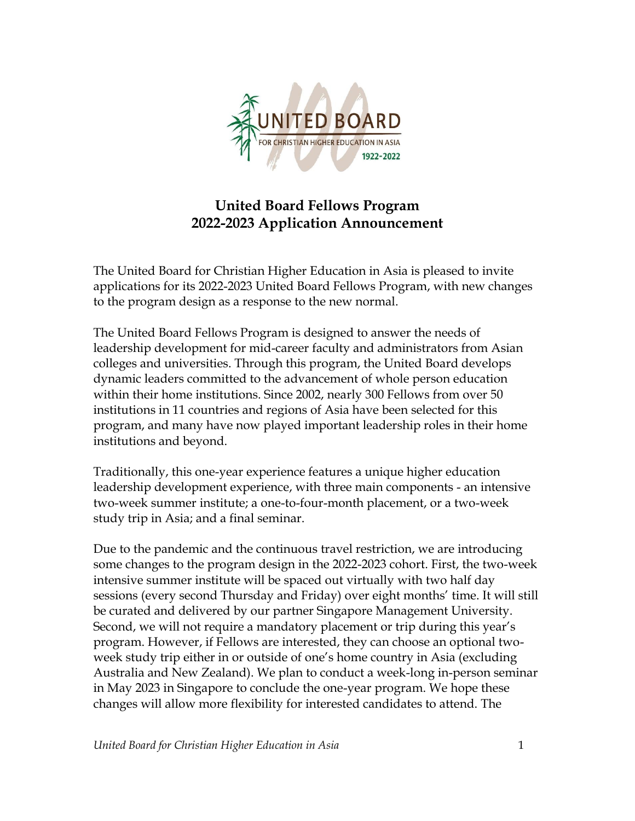

## **United Board Fellows Program 2022-2023 Application Announcement**

The United Board for Christian Higher Education in Asia is pleased to invite applications for its 2022-2023 United Board Fellows Program, with new changes to the program design as a response to the new normal.

The United Board Fellows Program is designed to answer the needs of leadership development for mid-career faculty and administrators from Asian colleges and universities. Through this program, the United Board develops dynamic leaders committed to the advancement of whole person education within their home institutions. Since 2002, nearly 300 Fellows from over 50 institutions in 11 countries and regions of Asia have been selected for this program, and many have now played important leadership roles in their home institutions and beyond.

Traditionally, this one-year experience features a unique higher education leadership development experience, with three main components - an intensive two-week summer institute; a one-to-four-month placement, or a two-week study trip in Asia; and a final seminar.

Due to the pandemic and the continuous travel restriction, we are introducing some changes to the program design in the 2022-2023 cohort. First, the two-week intensive summer institute will be spaced out virtually with two half day sessions (every second Thursday and Friday) over eight months' time. It will still be curated and delivered by our partner Singapore Management University. Second, we will not require a mandatory placement or trip during this year's program. However, if Fellows are interested, they can choose an optional twoweek study trip either in or outside of one's home country in Asia (excluding Australia and New Zealand). We plan to conduct a week-long in-person seminar in May 2023 in Singapore to conclude the one-year program. We hope these changes will allow more flexibility for interested candidates to attend. The